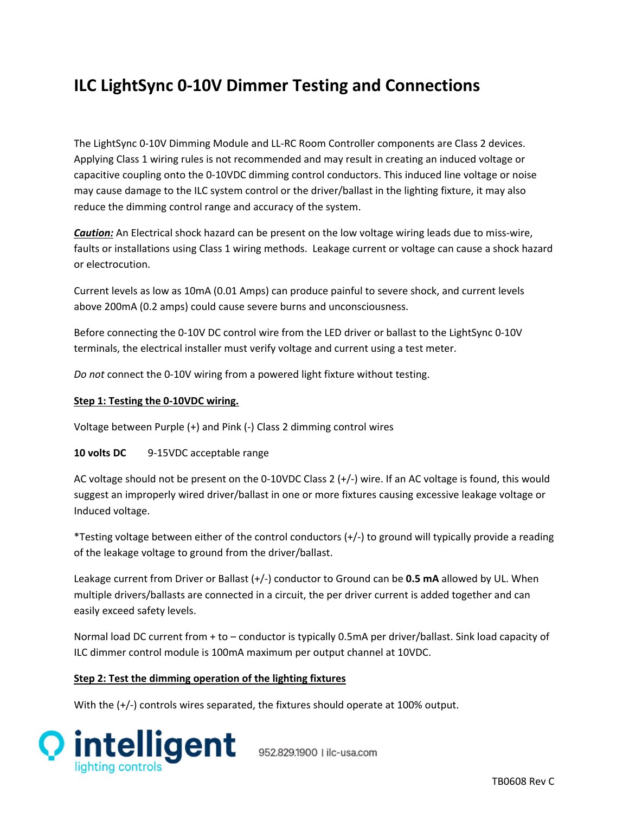## **ILC LightSync 0‐10V Dimmer Testing and Connections**

The LightSync 0‐10V Dimming Module and LL‐RC Room Controller components are Class 2 devices. Applying Class 1 wiring rules is not recommended and may result in creating an induced voltage or capacitive coupling onto the 0‐10VDC dimming control conductors. This induced line voltage or noise may cause damage to the ILC system control or the driver/ballast in the lighting fixture, it may also reduce the dimming control range and accuracy of the system.

*Caution:* An Electrical shock hazard can be present on the low voltage wiring leads due to miss‐wire, faults or installations using Class 1 wiring methods. Leakage current or voltage can cause a shock hazard or electrocution.

Current levels as low as 10mA (0.01 Amps) can produce painful to severe shock, and current levels above 200mA (0.2 amps) could cause severe burns and unconsciousness.

Before connecting the 0‐10V DC control wire from the LED driver or ballast to the LightSync 0‐10V terminals, the electrical installer must verify voltage and current using a test meter.

*Do not* connect the 0‐10V wiring from a powered light fixture without testing.

## **Step 1: Testing the 0‐10VDC wiring.**

Voltage between Purple (+) and Pink (‐) Class 2 dimming control wires

**10 volts DC** 9‐15VDC acceptable range

AC voltage should not be present on the 0‐10VDC Class 2 (+/‐) wire. If an AC voltage is found, this would suggest an improperly wired driver/ballast in one or more fixtures causing excessive leakage voltage or Induced voltage.

\*Testing voltage between either of the control conductors (+/‐) to ground will typically provide a reading of the leakage voltage to ground from the driver/ballast.

Leakage current from Driver or Ballast (+/‐) conductor to Ground can be **0.5 mA** allowed by UL. When multiple drivers/ballasts are connected in a circuit, the per driver current is added together and can easily exceed safety levels.

Normal load DC current from + to – conductor is typically 0.5mA per driver/ballast. Sink load capacity of ILC dimmer control module is 100mA maximum per output channel at 10VDC.

## **Step 2: Test the dimming operation of the lighting fixtures**

With the (+/-) controls wires separated, the fixtures should operate at 100% output.